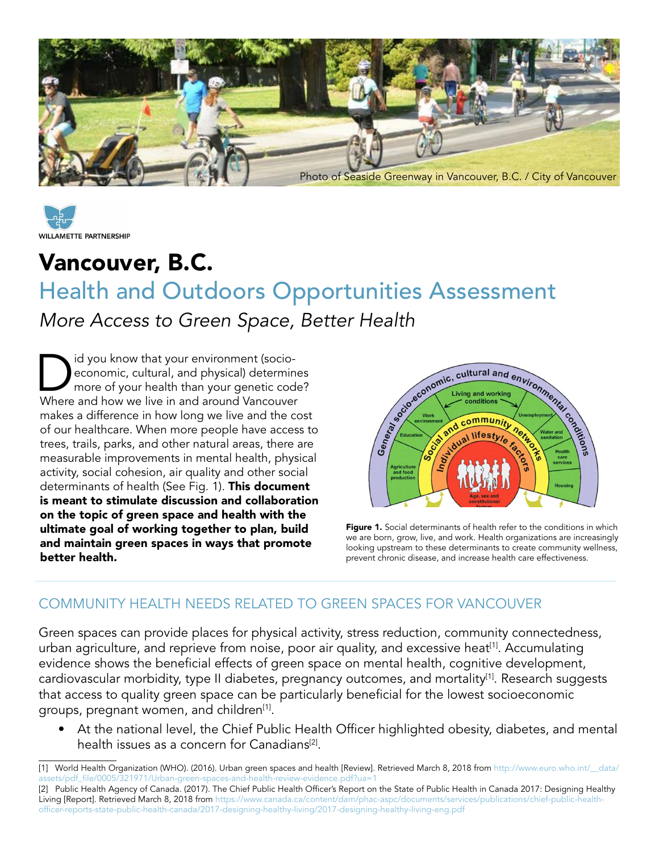



# Vancouver, B.C.

# Health and Outdoors Opportunities Assessment *More Access to Green Space, Better Health*

Did you know that your environment (socio-<br>economic, cultural, and physical) determined the more of your health than your genetic cod<br>Where and how we live in and around Vancouveus economic, cultural, and physical) determines more of your health than your genetic code? Where and how we live in and around Vancouver makes a difference in how long we live and the cost of our healthcare. When more people have access to trees, trails, parks, and other natural areas, there are measurable improvements in mental health, physical activity, social cohesion, air quality and other social determinants of health (See Fig. 1). This document is meant to stimulate discussion and collaboration on the topic of green space and health with the ultimate goal of working together to plan, build and maintain green spaces in ways that promote better health.



Figure 1. Social determinants of health refer to the conditions in which we are born, grow, live, and work. Health organizations are increasingly looking upstream to these determinants to create community wellness, prevent chronic disease, and increase health care effectiveness.

#### COMMUNITY HEALTH NEEDS RELATED TO GREEN SPACES FOR VANCOUVER

Green spaces can provide places for physical activity, stress reduction, community connectedness, urban agriculture, and reprieve from noise, poor air quality, and excessive heat<sup>[1]</sup>. Accumulating evidence shows the beneficial effects of green space on mental health, cognitive development, cardiovascular morbidity, type II diabetes, pregnancy outcomes, and mortality[1]. Research suggests that access to quality green space can be particularly beneficial for the lowest socioeconomic groups, pregnant women, and children<sup>[1]</sup>.

• At the national level, the Chief Public Health Officer highlighted obesity, diabetes, and mental health issues as a concern for Canadians<sup>[2]</sup>.

<sup>[1]</sup> World Health Organization (WHO). (2016). Urban green spaces and health [Review]. Retrieved March 8, 2018 from [http://www.euro.who.int/\\_\\_data/](http://www.euro.who.int/__data/assets/pdf_file/0005/321971/Urban-green-spaces-and-health-review-evidence.pdf%3Fua%3D1) [assets/pdf\\_file/0005/321971/Urban-green-spaces-and-health-review-evidence.pdf?ua=1](http://www.euro.who.int/__data/assets/pdf_file/0005/321971/Urban-green-spaces-and-health-review-evidence.pdf%3Fua%3D1)

<sup>[2]</sup> Public Health Agency of Canada. (2017). The Chief Public Health Officer's Report on the State of Public Health in Canada 2017: Designing Healthy Living [Report]. Retrieved March 8, 2018 from [https://www.canada.ca/content/dam/phac-aspc/documents/services/publications/chief-public-health](https://www.canada.ca/content/dam/phac-aspc/documents/services/publications/chief-public-health-officer-reports-state-public-health-canada/2017-designing-healthy-living/2017-designing-healthy-living-eng.pdf)[officer-reports-state-public-health-canada/2017-designing-healthy-living/2017-designing-healthy-living-eng.pdf](https://www.canada.ca/content/dam/phac-aspc/documents/services/publications/chief-public-health-officer-reports-state-public-health-canada/2017-designing-healthy-living/2017-designing-healthy-living-eng.pdf)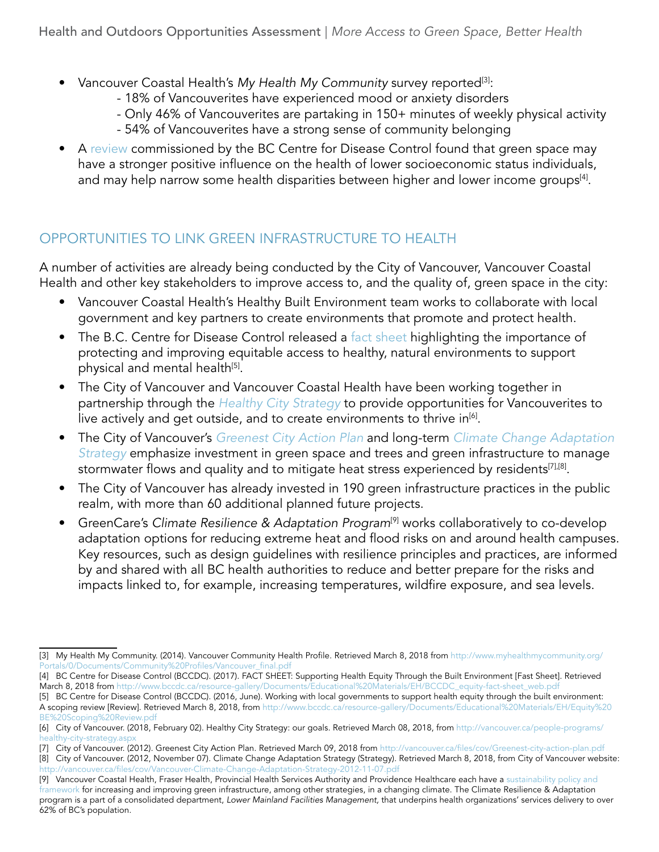- Vancouver Coastal Health's My Health My Community survey reported<sup>[3]</sup>:
	- 18% of Vancouverites have experienced mood or anxiety disorders
	- Only 46% of Vancouverites are partaking in 150+ minutes of weekly physical activity
	- 54% of Vancouverites have a strong sense of community belonging
- A [review](http://www.bccdc.ca/resource-gallery/Documents/Educational%2520Materials/EH/Equity%2520BE%2520Scoping%2520Review.pdf) commissioned by the BC Centre for Disease Control found that green space may have a stronger positive influence on the health of lower socioeconomic status individuals, and may help narrow some health disparities between higher and lower income groups<sup>[4]</sup>.

## OPPORTUNITIES TO LINK GREEN INFRASTRUCTURE TO HEALTH

A number of activities are already being conducted by the City of Vancouver, Vancouver Coastal Health and other key stakeholders to improve access to, and the quality of, green space in the city:

- Vancouver Coastal Health's Healthy Built Environment team works to collaborate with local government and key partners to create environments that promote and protect health.
- The B.C. Centre for Disease Control released a [fact sheet](http://www.bccdc.ca/resource-gallery/Documents/Educational%20Materials/EH/BCCDC_equity-fact-sheet_web.pdf) highlighting the importance of protecting and improving equitable access to healthy, natural environments to support physical and mental health<sup>[5]</sup>.
- The City of Vancouver and Vancouver Coastal Health have been working together in partnership through the *[Healthy City Strategy](http://vancouver.ca/people-programs/healthy-city-strategy.aspx)* to provide opportunities for Vancouverites to live actively and get outside, and to create environments to thrive in<sup>[6]</sup>.
- • The City of Vancouver's *[Greenest City Action Plan](http://vancouver.ca/green-vancouver/greenest-city-goals-targets.aspx)* and long-term *[Climate Change Adaptation](http://vancouver.ca/files/cov/Vancouver-Climate-Change-Adaptation-Strategy-2012-11-07.pdf)  [Strategy](http://vancouver.ca/files/cov/Vancouver-Climate-Change-Adaptation-Strategy-2012-11-07.pdf)* emphasize investment in green space and trees and green infrastructure to manage stormwater flows and quality and to mitigate heat stress experienced by residents<sup>[7],[8]</sup>.
- The City of Vancouver has already invested in 190 green infrastructure practices in the public realm, with more than 60 additional planned future projects.
- GreenCare's *Climate Resilience & Adaptation Program<sup>[9]</sup>* works collaboratively to co-develop adaptation options for reducing extreme heat and flood risks on and around health campuses. Key resources, such as design guidelines with resilience principles and practices, are informed by and shared with all BC health authorities to reduce and better prepare for the risks and impacts linked to, for example, increasing temperatures, wildfire exposure, and sea levels.

<sup>[3]</sup> My Health My Community. (2014). Vancouver Community Health Profile. Retrieved March 8, 2018 from [http://www.myhealthmycommunity.org/](http://www.myhealthmycommunity.org/Portals/0/Documents/Community%2520Profiles/Vancouver_final.pdf) [Portals/0/Documents/Community%20Profiles/Vancouver\\_final.pdf](http://www.myhealthmycommunity.org/Portals/0/Documents/Community%2520Profiles/Vancouver_final.pdf)

<sup>[4]</sup> BC Centre for Disease Control (BCCDC). (2017). FACT SHEET: Supporting Health Equity Through the Built Environment [Fast Sheet]. Retrieved March 8, 2018 from [http://www.bccdc.ca/resource-gallery/Documents/Educational%20Materials/EH/BCCDC\\_equity-fact-sheet\\_web.pdf](http://www.bccdc.ca/resource-gallery/Documents/Educational%2520Materials/EH/BCCDC_equity-fact-sheet_web.pdf)

<sup>[5]</sup> BC Centre for Disease Control (BCCDC). (2016, June). Working with local governments to support health equity through the built environment: A scoping review [Review]. Retrieved March 8, 2018, from [http://www.bccdc.ca/resource-gallery/Documents/Educational%20Materials/EH/Equity%20](http://www.bccdc.ca/resource-gallery/Documents/Educational%2520Materials/EH/Equity%2520BE%2520Scoping%2520Review.pdf) [BE%20Scoping%20Review.pdf](http://www.bccdc.ca/resource-gallery/Documents/Educational%2520Materials/EH/Equity%2520BE%2520Scoping%2520Review.pdf)

<sup>[6]</sup> City of Vancouver. (2018, February 02). Healthy City Strategy: our goals. Retrieved March 08, 2018, from [http://vancouver.ca/people-programs/](http://vancouver.ca/people-programs/healthy-city-strategy.aspx) healthy-city-strategy.asp

<sup>[7]</sup> City of Vancouver. (2012). Greenest City Action Plan. Retrieved March 09, 2018 from<http://vancouver.ca/files/cov/Greenest-city-action-plan.pdf>

<sup>[8]</sup> City of Vancouver. (2012, November 07). Climate Change Adaptation Strategy (Strategy). Retrieved March 8, 2018, from City of Vancouver website: <http://vancouver.ca/files/cov/Vancouver-Climate-Change-Adaptation-Strategy-2012-11-07.pdf>

<sup>[9]</sup> Vancouver Coastal Health, Fraser Health, Provincial Health Services Authority and Providence Healthcare each have a sustainability policy and [framework](https://bcgreencare.ca/system/files/resource-files/2016_EPAR_FINAL.pdf) for increasing and improving green infrastructure, among other strategies, in a changing climate. The Climate Resilience & Adaptation program is a part of a consolidated department, *Lower Mainland Facilities Management,* that underpins health organizations' services delivery to over 62% of BC's population.